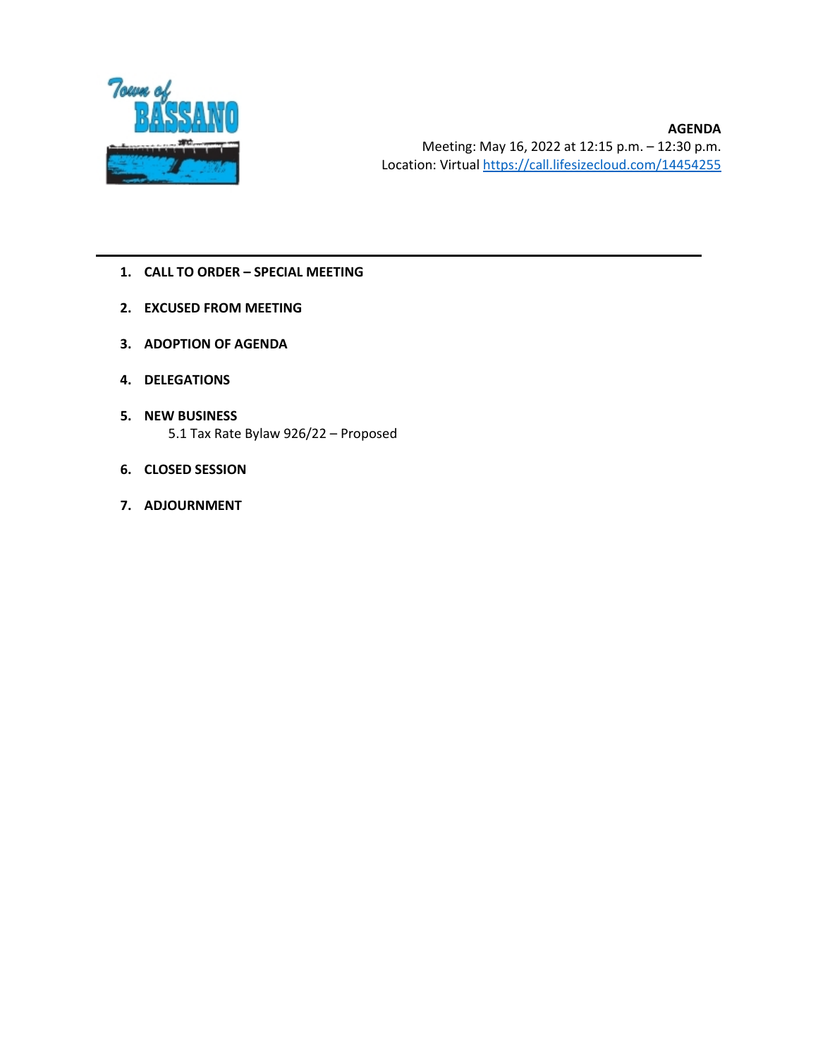

- **1. CALL TO ORDER – SPECIAL MEETING**
- **2. EXCUSED FROM MEETING**
- **3. ADOPTION OF AGENDA**
- **4. DELEGATIONS**
- **5. NEW BUSINESS** 5.1 Tax Rate Bylaw 926/22 – Proposed
- **6. CLOSED SESSION**
- **7. ADJOURNMENT**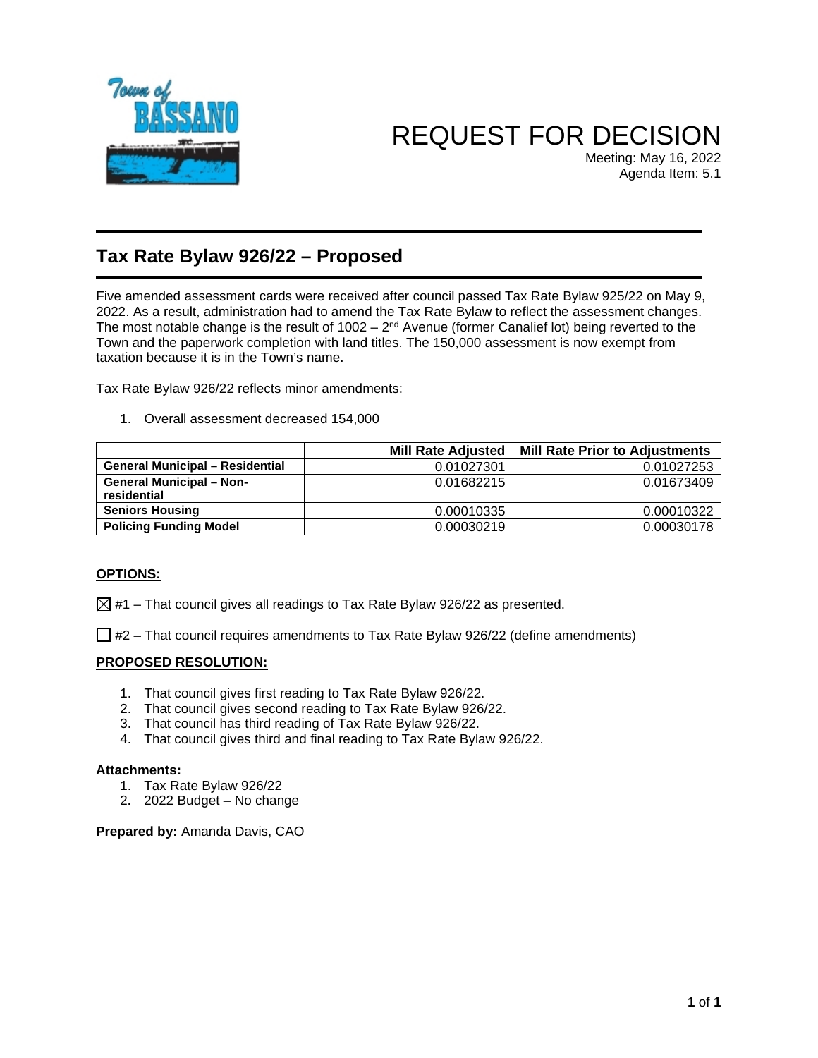

# REQUEST FOR DECISION

Meeting: May 16, 2022 Agenda Item: 5.1

## **Tax Rate Bylaw 926/22 – Proposed**

Five amended assessment cards were received after council passed Tax Rate Bylaw 925/22 on May 9, 2022. As a result, administration had to amend the Tax Rate Bylaw to reflect the assessment changes. The most notable change is the result of  $1002 - 2<sup>nd</sup>$  Avenue (former Canalief lot) being reverted to the Town and the paperwork completion with land titles. The 150,000 assessment is now exempt from taxation because it is in the Town's name.

Tax Rate Bylaw 926/22 reflects minor amendments:

1. Overall assessment decreased 154,000

|                                                | <b>Mill Rate Adjusted</b> | <b>Mill Rate Prior to Adjustments</b> |
|------------------------------------------------|---------------------------|---------------------------------------|
| <b>General Municipal - Residential</b>         | 0.01027301                | 0.01027253                            |
| <b>General Municipal - Non-</b><br>residential | 0.01682215                | 0.01673409                            |
| <b>Seniors Housing</b>                         | 0.00010335                | 0.00010322                            |
| <b>Policing Funding Model</b>                  | 0.00030219                | 0.00030178                            |

#### **OPTIONS:**

 $\boxtimes$  #1 – That council gives all readings to Tax Rate Bylaw 926/22 as presented.

 $\Box$  #2 – That council requires amendments to Tax Rate Bylaw 926/22 (define amendments)

#### **PROPOSED RESOLUTION:**

- 1. That council gives first reading to Tax Rate Bylaw 926/22.
- 2. That council gives second reading to Tax Rate Bylaw 926/22.
- 3. That council has third reading of Tax Rate Bylaw 926/22.
- 4. That council gives third and final reading to Tax Rate Bylaw 926/22.

#### **Attachments:**

- 1. Tax Rate Bylaw 926/22
- 2. 2022 Budget No change

**Prepared by:** Amanda Davis, CAO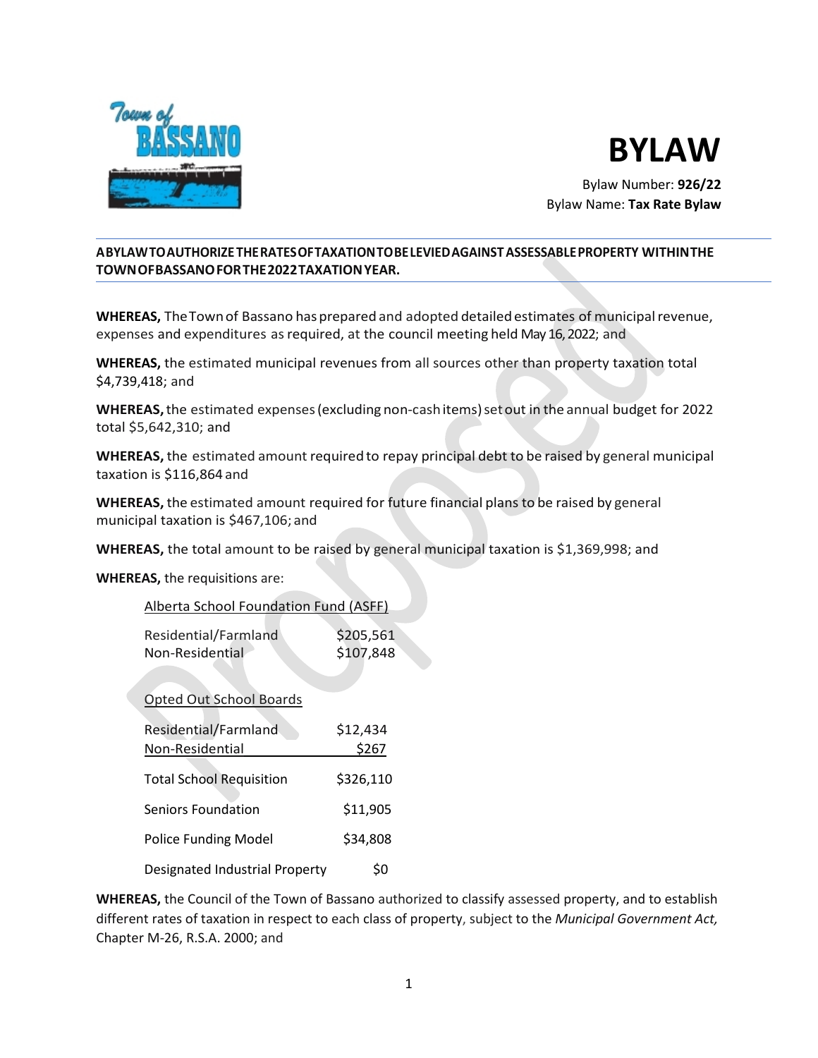



Bylaw Number: **926/22** Bylaw Name: **Tax Rate Bylaw**

#### **ABYLAWTOAUTHORIZETHERATESOFTAXATIONTOBELEVIEDAGAINSTASSESSABLEPROPERTY WITHINTHE TOWNOFBASSANOFORTHE2022TAXATIONYEAR.**

**WHEREAS,** TheTownof Bassano hasprepared and adopted detailedestimates of municipalrevenue, expenses and expenditures as required, at the council meeting held May 16, 2022; and

**WHEREAS,** the estimated municipal revenues from all sources other than property taxation total \$4,739,418; and

**WHEREAS,**the estimated expenses(excluding non-cashitems)setout in the annual budget for 2022 total \$5,642,310; and

**WHEREAS,** the estimated amount required to repay principal debt to be raised by general municipal taxation is \$116,864 and

**WHEREAS,** the estimated amount required for future financial plans to be raised by general municipal taxation is \$467,106; and

**WHEREAS,** the total amount to be raised by general municipal taxation is \$1,369,998; and

**WHEREAS,** the requisitions are:

| Alberta School Foundation Fund (ASFF) |           |
|---------------------------------------|-----------|
|                                       |           |
| Residential/Farmland                  | \$205,561 |
| Non-Residential                       | \$107,848 |
|                                       |           |
|                                       |           |
| <b>Opted Out School Boards</b>        |           |
|                                       |           |
| Residential/Farmland                  | \$12,434  |
| Non-Residential                       | \$267     |
|                                       |           |
| <b>Total School Requisition</b>       | \$326,110 |
|                                       |           |
| Seniors Foundation                    | \$11,905  |
|                                       |           |
| <b>Police Funding Model</b>           | \$34,808  |
|                                       |           |
| Designated Industrial Property        | \$0       |

**WHEREAS,** the Council of the Town of Bassano authorized to classify assessed property, and to establish different rates of taxation in respect to each class of property, subject to the *Municipal Government Act,*  Chapter M-26, R.S.A. 2000; and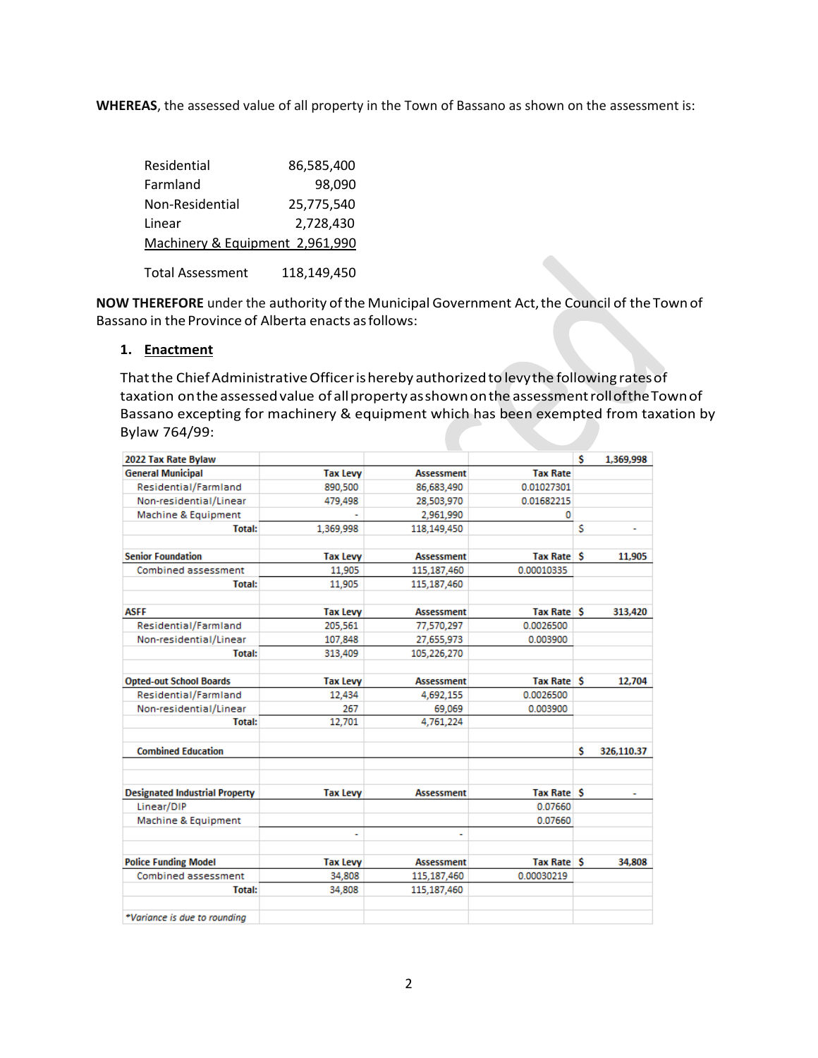**WHEREAS**, the assessed value of all property in the Town of Bassano as shown on the assessment is:

| Residential                     | 86,585,400 |
|---------------------------------|------------|
| Farmland                        | 98.090     |
| Non-Residential                 | 25,775,540 |
| Linear                          | 2,728,430  |
| Machinery & Equipment 2,961,990 |            |
|                                 |            |

Total Assessment 118,149,450

NOW THEREFORE under the authority of the Municipal Government Act, the Council of the Town of Bassano in the Province of Alberta enacts as follows:

#### **1. Enactment**

Thatthe ChiefAdministrativeOfficerishereby authorizedto levythe following ratesof taxation onthe assessedvalue of allproperty asshownonthe assessmentrolloftheTownof Bassano excepting for machinery & equipment which has been exempted from taxation by Bylaw 764/99:

| 2022 Tax Rate Bylaw                   |                 |                   |                   | Ŝ  | 1,369,998  |
|---------------------------------------|-----------------|-------------------|-------------------|----|------------|
| <b>General Municipal</b>              | <b>Tax Levy</b> | <b>Assessment</b> | <b>Tax Rate</b>   |    |            |
| Residential/Farmland                  | 890,500         | 86,683,490        | 0.01027301        |    |            |
| Non-residential/Linear                | 479.498         | 28,503,970        | 0.01682215        |    |            |
| Machine & Equipment                   |                 | 2,961,990         | 0                 |    |            |
| <b>Total:</b>                         | 1,369,998       | 118,149,450       |                   | \$ |            |
| <b>Senior Foundation</b>              | <b>Tax Levy</b> | <b>Assessment</b> | <b>Tax Rate S</b> |    | 11,905     |
| Combined assessment                   | 11,905          | 115,187,460       | 0.00010335        |    |            |
| <b>Total:</b>                         | 11,905          | 115,187,460       |                   |    |            |
| <b>ASFF</b>                           | <b>Tax Levy</b> | <b>Assessment</b> | Tax Rate S        |    | 313,420    |
| Residential/Farmland                  | 205,561         | 77,570,297        | 0.0026500         |    |            |
| Non-residential/Linear                | 107,848         | 27,655,973        | 0.003900          |    |            |
| <b>Total:</b>                         | 313,409         | 105,226,270       |                   |    |            |
| <b>Opted-out School Boards</b>        | <b>Tax Levy</b> | <b>Assessment</b> | Tax Rate S        |    | 12,704     |
| Residential/Farmland                  | 12,434          | 4,692,155         | 0.0026500         |    |            |
| Non-residential/Linear                | 267             | 69,069            | 0.003900          |    |            |
| <b>Total:</b>                         | 12,701          | 4,761,224         |                   |    |            |
| <b>Combined Education</b>             |                 |                   |                   | s  | 326,110.37 |
| <b>Designated Industrial Property</b> | <b>Tax Levy</b> | <b>Assessment</b> | <b>Tax Rate S</b> |    |            |
| Linear/DIP                            |                 |                   | 0.07660           |    |            |
| Machine & Equipment                   | ٠               |                   | 0.07660           |    |            |
| <b>Police Funding Model</b>           | <b>Tax Levy</b> | <b>Assessment</b> | <b>Tax Rate S</b> |    | 34,808     |
| Combined assessment                   | 34,808          | 115,187,460       | 0.00030219        |    |            |
| <b>Total:</b>                         | 34,808          | 115,187,460       |                   |    |            |
| *Variance is due to rounding          |                 |                   |                   |    |            |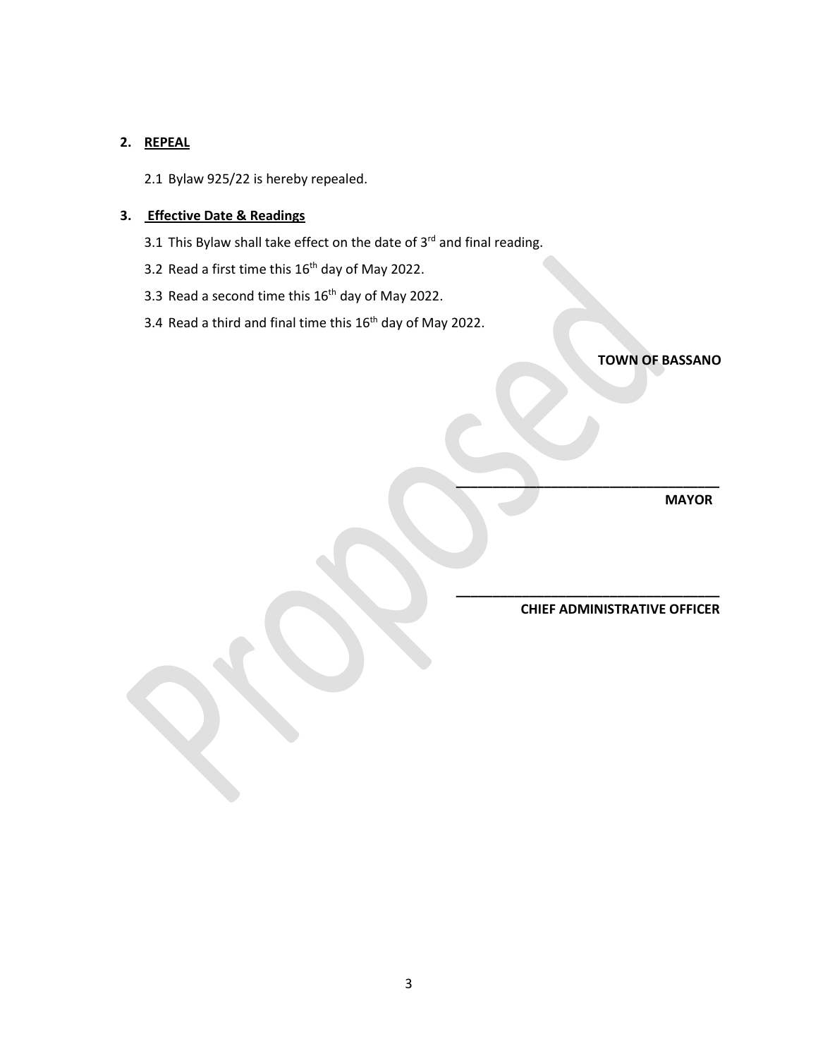#### **2. REPEAL**

2.1 Bylaw 925/22 is hereby repealed.

#### **3. Effective Date & Readings**

- 3.1 This Bylaw shall take effect on the date of  $3<sup>rd</sup>$  and final reading.
- 3.2 Read a first time this  $16<sup>th</sup>$  day of May 2022.
- 3.3 Read a second time this 16<sup>th</sup> day of May 2022.
- 3.4 Read a third and final time this 16<sup>th</sup> day of May 2022.

**TOWN OF BASSANO**

 **MAYOR**

 **CHIEF ADMINISTRATIVE OFFICER**

 **\_\_\_\_\_\_\_\_\_\_\_\_\_\_\_\_\_\_\_\_\_\_\_\_\_\_\_\_\_\_\_\_\_\_\_\_**

 **\_\_\_\_\_\_\_\_\_\_\_\_\_\_\_\_\_\_\_\_\_\_\_\_\_\_\_\_\_\_\_\_\_\_\_\_**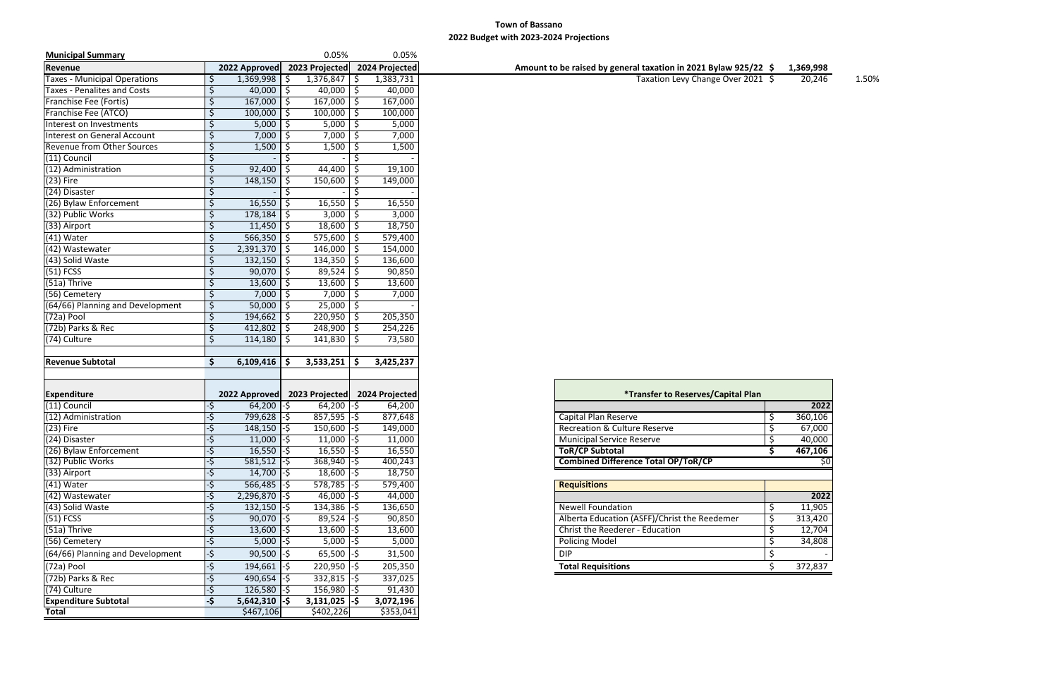#### **Town of Bassano 2022 Budget with 2023-2024 Projections**

| <b>Municipal Summary</b>            |               |                              |          | 0.05%                        |                    | 0.05%                  |
|-------------------------------------|---------------|------------------------------|----------|------------------------------|--------------------|------------------------|
| Revenue                             |               | 2022 Approved                |          | 2023 Projected               |                    | 2024 Projected         |
| <b>Taxes - Municipal Operations</b> | \$            | 1,369,998                    |          | 1,376,847                    | -S                 | 1,383,731              |
| <b>Taxes - Penalites and Costs</b>  | \$            | 40,000                       | \$       | 40,000                       | $\ddot{\phi}$      | 40,000                 |
| Franchise Fee (Fortis)              | \$            | 167,000                      | \$       | 167,000                      | \$                 | 167,000                |
| Franchise Fee (ATCO)                | \$            | 100,000                      | \$       | 100,000                      | \$                 | 100,000                |
| Interest on Investments             | \$            | 5,000                        | Ŝ.       | 5,000                        | -\$                | 5,000                  |
| Interest on General Account         | \$            | 7,000                        |          | 7,000                        |                    | 7,000                  |
| Revenue from Other Sources          | \$            | 1,500                        | -S       | 1,500                        | -Ş                 | 1,500                  |
| (11) Council                        | \$            |                              |          |                              |                    |                        |
| (12) Administration                 | \$            | 92,400                       | -Ş       | 44,400                       | \$                 | 19,100                 |
| $(23)$ Fire                         | \$            | 148,150                      | \$       | 150,600                      | -\$                | 149,000                |
| (24) Disaster                       | \$            |                              |          |                              |                    |                        |
|                                     |               |                              |          |                              |                    |                        |
| (26) Bylaw Enforcement              | \$            | 16,550                       | \$.      | 16,550                       | \$                 | 16,550                 |
| (32) Public Works                   | \$            | 178,184                      |          | 3,000                        | \$                 | 3,000                  |
| (33) Airport                        | \$            | 11,450                       | \$.      | 18,600                       | \$                 | 18,750                 |
| $(41)$ Water                        | \$            | 566,350                      | \$       | 575,600                      | \$                 | 579,400                |
| (42) Wastewater                     | \$            | $2,391,370$ \$               |          | 146,000                      | $\ddot{\varsigma}$ | 154,000                |
| (43) Solid Waste                    | \$            | 132,150                      | S.       | 134,350                      | $\ddot{\varsigma}$ | 136,600                |
| $(51)$ FCSS                         | \$            | 90,070                       | \$       | 89,524                       | \$                 | 90,850                 |
| (51a) Thrive                        | \$            | 13,600                       | \$       | 13,600                       | \$                 | 13,600                 |
| (56) Cemetery                       | \$            | 7,000                        |          | 7,000                        | $\ddot{\varsigma}$ | 7,000                  |
| (64/66) Planning and Development    | \$            | 50,000                       | Ŝ.       | 25,000                       | $\ddot{\phi}$      |                        |
| $(72a)$ Pool                        | \$            | 194,662                      | Ŝ.       | 220,950                      | \$                 | 205,350                |
| (72b) Parks & Rec                   | \$            | 412,802                      | \$       | 248,900                      | $\ddot{\phi}$      | 254,226                |
| (74) Culture                        | \$            | 114,180                      | S.       | 141,830                      | \$                 | 73,580                 |
|                                     |               |                              |          |                              |                    |                        |
| <b>Revenue Subtotal</b>             | \$            | 6,109,416                    | <b>S</b> | 3,533,251                    | -S                 | 3,425,237              |
|                                     |               |                              |          |                              |                    |                        |
|                                     |               |                              |          |                              |                    |                        |
| <b>Expenditure</b>                  |               | 2022 Approved                |          | 2023 Projected               |                    | 2024 Projected         |
| (11) Council                        | -\$           | $64,200$ -\$                 |          | 64,200                       | -\$                | 64,200                 |
| (12) Administration                 | -\$           | 799,628 -\$                  |          | $857,595$ -\$                |                    | 877,648                |
| $(23)$ Fire                         | -\$           | $148,150$ -\$                |          | $150,600$ -\$                |                    | 149,000                |
| (24) Disaster                       | $\frac{1}{2}$ | $11,000$ -\$                 |          | $11,000$ -\$                 |                    | 11,000                 |
|                                     |               |                              |          |                              |                    |                        |
| (26) Bylaw Enforcement              | -\$           | $16,550$ -\$                 |          | $16,550$ -\$                 |                    | 16,550                 |
| (32) Public Works                   | -\$           | $581,512$ -\$                |          | $368,940$ -\$                |                    | 400,243                |
| (33) Airport                        | -\$           | $14,700$ -\$                 |          | $18,600$ -\$                 |                    | 18,750                 |
| $(41)$ Water                        | -\$           | $566,485$ -\$                |          | $578,785$ -\$                |                    | 579,400                |
| (42) Wastewater                     | -\$           | $2,296,870$ -\$              |          | $46,000$ -\$                 |                    | 44,000                 |
| (43) Solid Waste                    | -\$           | $132,150$ -\$                |          | $134,386$ -\$                |                    | 136,650                |
| $(51)$ FCSS                         | -\$           | $90,070$ -\$                 |          | $89,524$ -\$                 |                    | 90,850                 |
| (51a) Thrive                        | -\$           | $13,600$ -\$                 |          | $13,600$ -\$                 |                    | 13,600                 |
| (56) Cemetery                       | -\$           | $5,000$ -\$                  |          | $5,000$ -\$                  |                    | 5,000                  |
| (64/66) Planning and Development    | -\$           | $90,500$ -\$                 |          | $65,500$ -\$                 |                    | 31,500                 |
| (72a) Pool                          | -\$           | 194,661                      | l-S      | $220,950$ -\$                |                    | 205,350                |
| (72b) Parks & Rec                   | -\$           | $490,654$ -\$                |          | $332,815$ -\$                |                    | 337,025                |
|                                     |               |                              |          |                              |                    |                        |
| (74) Culture                        | -\$           | $126,580$ -\$                |          | 156,980                      | I-\$               | 91,430                 |
| <b>Expenditure Subtotal</b>         |               |                              |          |                              |                    |                        |
| <b>Total</b>                        | -\$           | $5,642,310$ -\$<br>\$467,106 |          | $3,131,025$ -\$<br>\$402,226 |                    | 3,072,196<br>\$353,041 |

| 1,369,998 |  |
|-----------|--|
|           |  |

| 2022    |
|---------|
| 360,106 |
| 67,000  |
| 40,000  |
| 467,106 |
| \$0     |
|         |
|         |
|         |
| 2022    |
| 11,905  |
| 313,420 |
| 12,704  |
| 34,808  |
|         |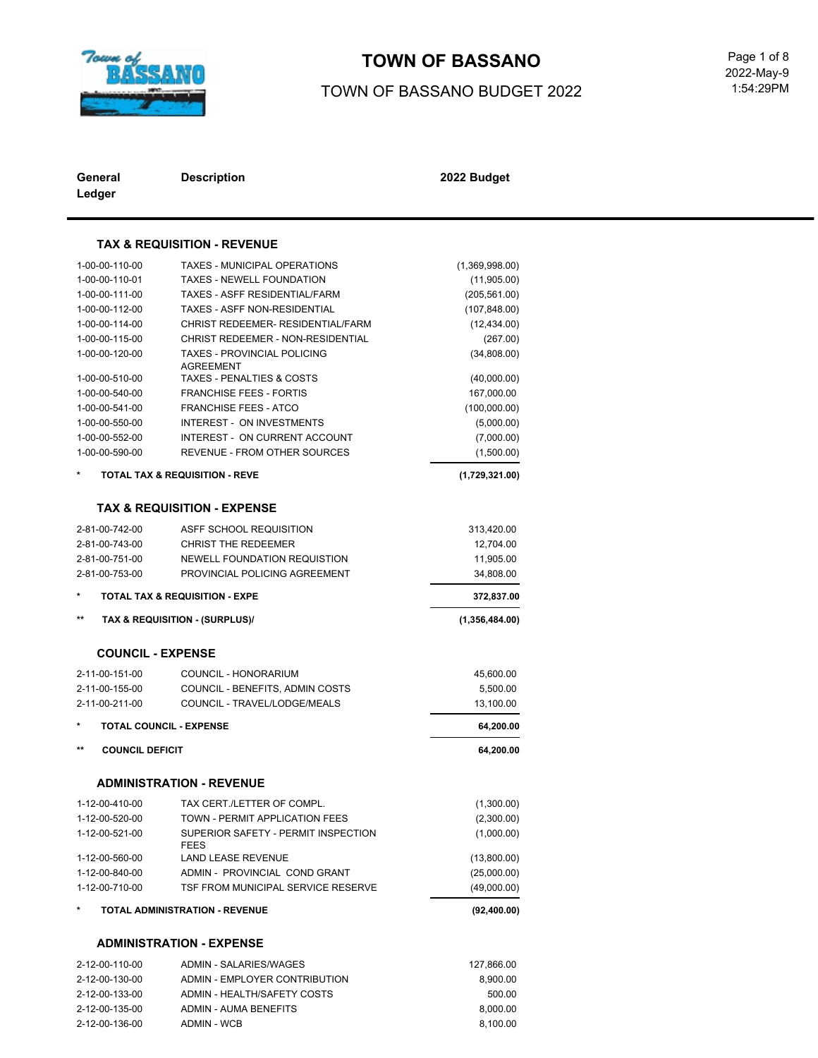

# **TOWN OF BASSANO** Page 1 of 8

### TOWN OF BASSANO BUDGET 2022

 1:54:29PM 2022-May-9

| General<br>Ledger               | <b>Description</b>                                     | 2022 Budget    |
|---------------------------------|--------------------------------------------------------|----------------|
|                                 | <b>TAX &amp; REQUISITION - REVENUE</b>                 |                |
|                                 |                                                        |                |
| 1-00-00-110-00                  | <b>TAXES - MUNICIPAL OPERATIONS</b>                    | (1,369,998.00) |
| 1-00-00-110-01                  | <b>TAXES - NEWELL FOUNDATION</b>                       | (11,905.00)    |
| 1-00-00-111-00                  | <b>TAXES - ASFF RESIDENTIAL/FARM</b>                   | (205, 561.00)  |
| 1-00-00-112-00                  | <b>TAXES - ASFF NON-RESIDENTIAL</b>                    | (107, 848.00)  |
| 1-00-00-114-00                  | CHRIST REDEEMER- RESIDENTIAL/FARM                      | (12, 434.00)   |
| 1-00-00-115-00                  | CHRIST REDEEMER - NON-RESIDENTIAL                      | (267.00)       |
| 1-00-00-120-00                  | <b>TAXES - PROVINCIAL POLICING</b><br><b>AGREEMENT</b> | (34,808.00)    |
| 1-00-00-510-00                  | <b>TAXES - PENALTIES &amp; COSTS</b>                   | (40,000.00)    |
| 1-00-00-540-00                  | FRANCHISE FEES - FORTIS                                | 167,000.00     |
| 1-00-00-541-00                  | <b>FRANCHISE FEES - ATCO</b>                           | (100,000.00)   |
| 1-00-00-550-00                  | <b>INTEREST - ON INVESTMENTS</b>                       | (5,000.00)     |
| 1-00-00-552-00                  | INTEREST - ON CURRENT ACCOUNT                          | (7,000.00)     |
| 1-00-00-590-00                  | <b>REVENUE - FROM OTHER SOURCES</b>                    | (1,500.00)     |
|                                 |                                                        |                |
|                                 | <b>TOTAL TAX &amp; REQUISITION - REVE</b>              | (1,729,321.00) |
|                                 | <b>TAX &amp; REQUISITION - EXPENSE</b>                 |                |
| 2-81-00-742-00                  | ASFF SCHOOL REQUISITION                                | 313,420.00     |
| 2-81-00-743-00                  | <b>CHRIST THE REDEEMER</b>                             | 12,704.00      |
| 2-81-00-751-00                  | NEWELL FOUNDATION REQUISTION                           | 11,905.00      |
| 2-81-00-753-00                  | PROVINCIAL POLICING AGREEMENT                          | 34,808.00      |
|                                 | <b>TOTAL TAX &amp; REQUISITION - EXPE</b>              | 372,837.00     |
| $***$                           | TAX & REQUISITION - (SURPLUS)/                         | (1,356,484.00) |
| <b>COUNCIL - EXPENSE</b>        |                                                        |                |
|                                 |                                                        |                |
| 2-11-00-151-00                  | COUNCIL - HONORARIUM                                   | 45,600.00      |
| 2-11-00-155-00                  | COUNCIL - BENEFITS, ADMIN COSTS                        | 5,500.00       |
| 2-11-00-211-00                  | COUNCIL - TRAVEL/LODGE/MEALS                           | 13,100.00      |
|                                 | <b>TOTAL COUNCIL - EXPENSE</b>                         | 64,200.00      |
| $***$<br><b>COUNCIL DEFICIT</b> |                                                        | 64,200.00      |
|                                 | <b>ADMINISTRATION - REVENUE</b>                        |                |
| 1-12-00-410-00                  | TAX CERT./LETTER OF COMPL.                             | (1,300.00)     |
| 1-12-00-520-00                  | TOWN - PERMIT APPLICATION FEES                         | (2,300.00)     |
| 1-12-00-521-00                  | SUPERIOR SAFETY - PERMIT INSPECTION                    | (1,000.00)     |
| 1-12-00-560-00                  | <b>FEES</b><br><b>LAND LEASE REVENUE</b>               |                |
|                                 |                                                        | (13,800.00)    |
| 1-12-00-840-00                  | ADMIN - PROVINCIAL COND GRANT                          | (25,000.00)    |
| 1-12-00-710-00                  | TSF FROM MUNICIPAL SERVICE RESERVE                     | (49,000.00)    |
|                                 | <b>TOTAL ADMINISTRATION - REVENUE</b>                  | (92, 400.00)   |
|                                 | <b>ADMINISTRATION - EXPENSE</b>                        |                |
| 2-12-00-110-00                  | <b>ADMIN - SALARIES/WAGES</b>                          | 127,866.00     |
| 2-12-00-130-00                  | ADMIN - EMPLOYER CONTRIBUTION                          | 8,900.00       |

2-12-00-133-00 ADMIN - HEALTH/SAFETY COSTS 500.00 2-12-00-135-00 ADMIN - AUMA BENEFITS 8,000.00 2-12-00-136-00 ADMIN - WCB 8,100.00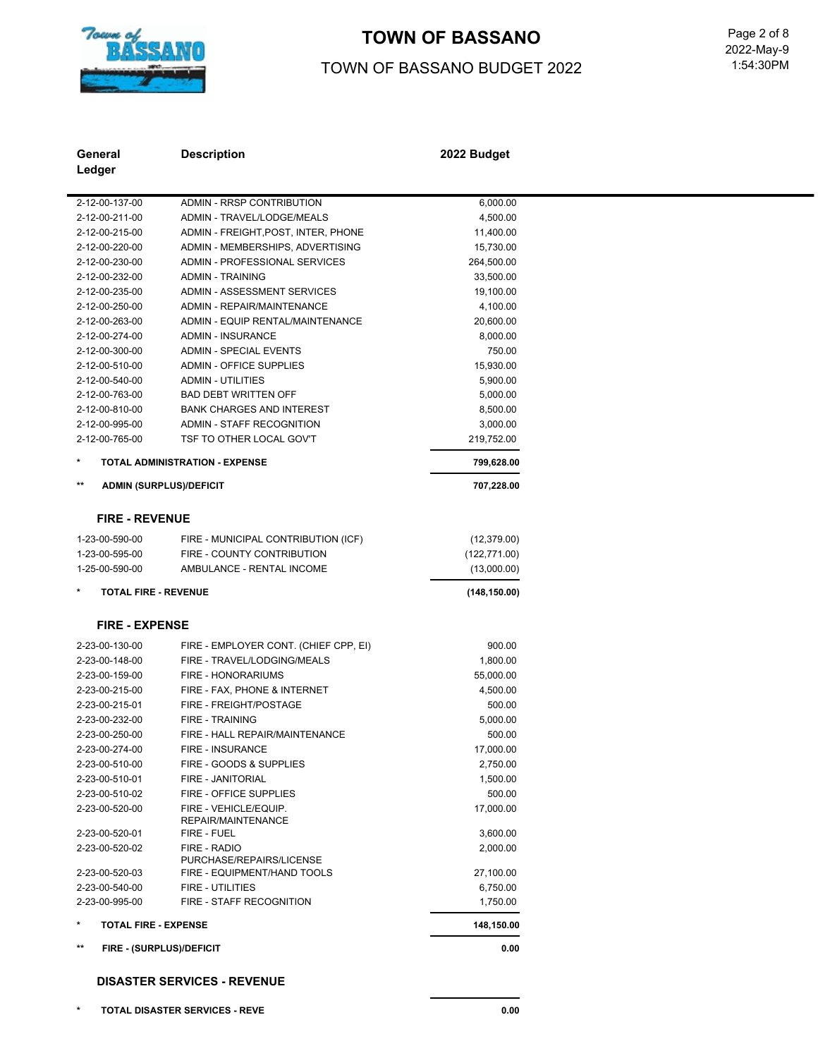

# TOWN OF BASSANO<br>
Page 2 of 8

### TOWN OF BASSANO BUDGET 2022

 1:54:30PM 2022-May-9

| General<br>Ledger                 | <b>Description</b>                          | 2022 Budget   |  |
|-----------------------------------|---------------------------------------------|---------------|--|
| 2-12-00-137-00                    | <b>ADMIN - RRSP CONTRIBUTION</b>            | 6,000.00      |  |
| 2-12-00-211-00                    | ADMIN - TRAVEL/LODGE/MEALS                  | 4,500.00      |  |
| 2-12-00-215-00                    | ADMIN - FREIGHT, POST, INTER, PHONE         | 11,400.00     |  |
| 2-12-00-220-00                    | ADMIN - MEMBERSHIPS, ADVERTISING            | 15,730.00     |  |
| 2-12-00-230-00                    | ADMIN - PROFESSIONAL SERVICES               | 264,500.00    |  |
| 2-12-00-232-00                    | <b>ADMIN - TRAINING</b>                     | 33,500.00     |  |
| 2-12-00-235-00                    | ADMIN - ASSESSMENT SERVICES                 | 19,100.00     |  |
| 2-12-00-250-00                    | <b>ADMIN - REPAIR/MAINTENANCE</b>           | 4,100.00      |  |
| 2-12-00-263-00                    | ADMIN - EQUIP RENTAL/MAINTENANCE            | 20,600.00     |  |
| 2-12-00-274-00                    | ADMIN - INSURANCE                           | 8,000.00      |  |
| 2-12-00-300-00                    | <b>ADMIN - SPECIAL EVENTS</b>               | 750.00        |  |
| 2-12-00-510-00                    | <b>ADMIN - OFFICE SUPPLIES</b>              | 15,930.00     |  |
| 2-12-00-540-00                    | <b>ADMIN - UTILITIES</b>                    | 5,900.00      |  |
| 2-12-00-763-00                    | <b>BAD DEBT WRITTEN OFF</b>                 | 5,000.00      |  |
| 2-12-00-810-00                    | <b>BANK CHARGES AND INTEREST</b>            | 8,500.00      |  |
| 2-12-00-995-00                    | ADMIN - STAFF RECOGNITION                   | 3,000.00      |  |
| 2-12-00-765-00                    | TSF TO OTHER LOCAL GOV'T                    | 219,752.00    |  |
| $\ast$                            | TOTAL ADMINISTRATION - EXPENSE              | 799,628.00    |  |
| $***$                             | <b>ADMIN (SURPLUS)/DEFICIT</b>              | 707,228.00    |  |
|                                   | <b>FIRE - REVENUE</b>                       |               |  |
| 1-23-00-590-00                    | FIRE - MUNICIPAL CONTRIBUTION (ICF)         | (12, 379.00)  |  |
| 1-23-00-595-00                    | FIRE - COUNTY CONTRIBUTION                  | (122, 771.00) |  |
| 1-25-00-590-00                    | AMBULANCE - RENTAL INCOME                   | (13,000.00)   |  |
|                                   | <b>TOTAL FIRE - REVENUE</b>                 | (148, 150.00) |  |
|                                   | <b>FIRE - EXPENSE</b>                       |               |  |
| 2-23-00-130-00                    | FIRE - EMPLOYER CONT. (CHIEF CPP, EI)       | 900.00        |  |
| 2-23-00-148-00                    | FIRE - TRAVEL/LODGING/MEALS                 | 1,800.00      |  |
| 2-23-00-159-00                    | FIRE - HONORARIUMS                          | 55,000.00     |  |
| 2-23-00-215-00                    | FIRE - FAX, PHONE & INTERNET                | 4,500.00      |  |
| 2-23-00-215-01                    | FIRE - FREIGHT/POSTAGE                      | 500.00        |  |
| 2-23-00-232-00                    | <b>FIRE - TRAINING</b>                      | 5,000.00      |  |
| 2-23-00-250-00                    | FIRE - HALL REPAIR/MAINTENANCE              | 500.00        |  |
| 2-23-00-274-00                    | <b>FIRE - INSURANCE</b>                     | 17,000.00     |  |
| 2-23-00-510-00                    | FIRE - GOODS & SUPPLIES                     | 2,750.00      |  |
| 2-23-00-510-01                    | FIRE - JANITORIAL                           | 1,500.00      |  |
| 2-23-00-510-02                    | FIRE - OFFICE SUPPLIES                      | 500.00        |  |
| 2-23-00-520-00                    | FIRE - VEHICLE/EQUIP.<br>REPAIR/MAINTENANCE | 17,000.00     |  |
| 2-23-00-520-01                    | FIRE - FUEL                                 | 3,600.00      |  |
| 2-23-00-520-02                    | FIRE - RADIO<br>PURCHASE/REPAIRS/LICENSE    | 2,000.00      |  |
| 2-23-00-520-03                    | FIRE - EQUIPMENT/HAND TOOLS                 | 27,100.00     |  |
| 2-23-00-540-00                    | FIRE - UTILITIES                            | 6,750.00      |  |
| 2-23-00-995-00                    | FIRE - STAFF RECOGNITION                    | 1,750.00      |  |
|                                   | <b>TOTAL FIRE - EXPENSE</b>                 | 148,150.00    |  |
| $***$<br>FIRE - (SURPLUS)/DEFICIT |                                             |               |  |

**\* TOTAL DISASTER SERVICES - REVE 0.00**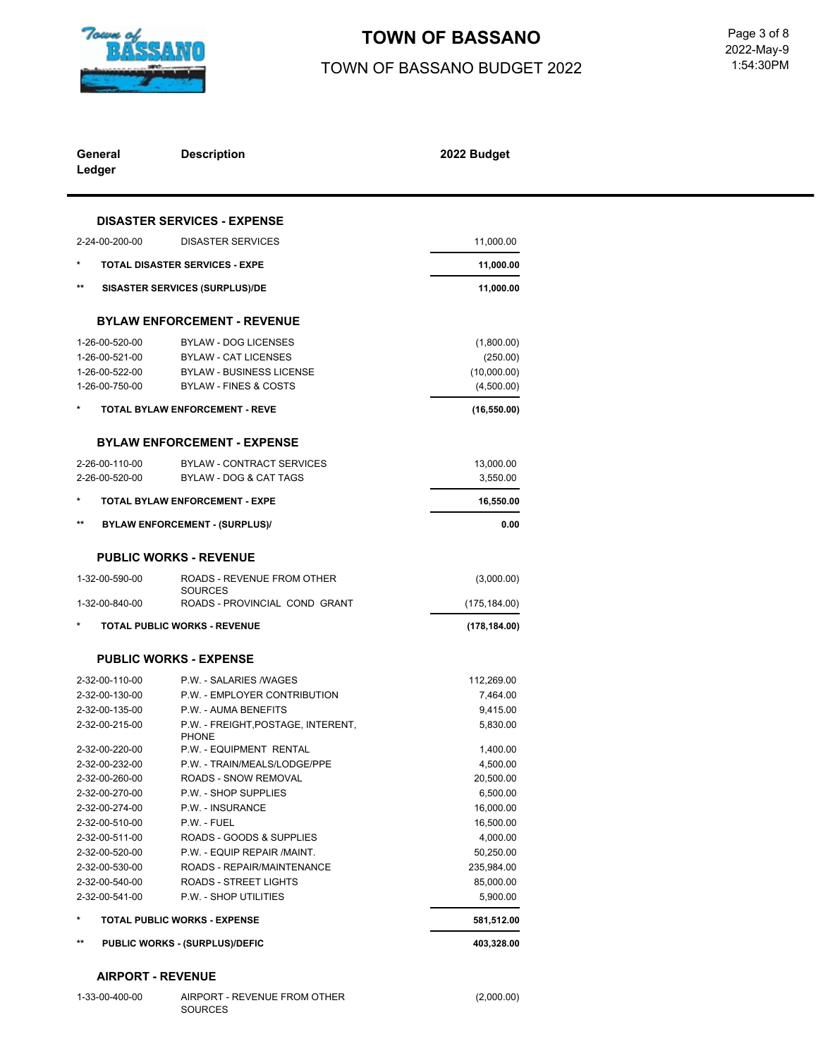

# TOWN OF BASSANO<br>
Page 3 of 8

## TOWN OF BASSANO BUDGET 2022

 1:54:30PM 2022-May-9

| General<br>Ledger | <b>Description</b>                              | 2022 Budget   |
|-------------------|-------------------------------------------------|---------------|
|                   | <b>DISASTER SERVICES - EXPENSE</b>              |               |
| 2-24-00-200-00    | <b>DISASTER SERVICES</b>                        | 11,000.00     |
|                   |                                                 |               |
|                   | <b>TOTAL DISASTER SERVICES - EXPE</b>           | 11,000.00     |
| **                | <b>SISASTER SERVICES (SURPLUS)/DE</b>           | 11,000.00     |
|                   | <b>BYLAW ENFORCEMENT - REVENUE</b>              |               |
| 1-26-00-520-00    | <b>BYLAW - DOG LICENSES</b>                     | (1,800.00)    |
| 1-26-00-521-00    | <b>BYLAW - CAT LICENSES</b>                     | (250.00)      |
| 1-26-00-522-00    | <b>BYLAW - BUSINESS LICENSE</b>                 | (10,000.00)   |
| 1-26-00-750-00    | <b>BYLAW - FINES &amp; COSTS</b>                | (4,500.00)    |
|                   | <b>TOTAL BYLAW ENFORCEMENT - REVE</b>           | (16, 550.00)  |
|                   | <b>BYLAW ENFORCEMENT - EXPENSE</b>              |               |
| 2-26-00-110-00    | <b>BYLAW - CONTRACT SERVICES</b>                | 13,000.00     |
| 2-26-00-520-00    | <b>BYLAW - DOG &amp; CAT TAGS</b>               | 3,550.00      |
|                   | <b>TOTAL BYLAW ENFORCEMENT - EXPE</b>           | 16,550.00     |
| $***$             |                                                 |               |
|                   | <b>BYLAW ENFORCEMENT - (SURPLUS)/</b>           | 0.00          |
|                   | <b>PUBLIC WORKS - REVENUE</b>                   |               |
| 1-32-00-590-00    | ROADS - REVENUE FROM OTHER                      | (3,000.00)    |
| 1-32-00-840-00    | <b>SOURCES</b><br>ROADS - PROVINCIAL COND GRANT | (175, 184.00) |
|                   | <b>TOTAL PUBLIC WORKS - REVENUE</b>             | (178, 184.00) |
|                   |                                                 |               |
|                   | <b>PUBLIC WORKS - EXPENSE</b>                   |               |
| 2-32-00-110-00    | P.W. - SALARIES /WAGES                          | 112,269.00    |
| 2-32-00-130-00    | P.W. - EMPLOYER CONTRIBUTION                    | 7,464.00      |
| 2-32-00-135-00    | P.W. - AUMA BENEFITS                            | 9,415.00      |
| 2-32-00-215-00    | P.W. - FREIGHT, POSTAGE, INTERENT,              | 5,830.00      |
| 2-32-00-220-00    | <b>PHONE</b><br>P.W. - EQUIPMENT RENTAL         | 1,400.00      |
| 2-32-00-232-00    | P.W. - TRAIN/MEALS/LODGE/PPE                    | 4,500.00      |
| 2-32-00-260-00    | ROADS - SNOW REMOVAL                            | 20,500.00     |
| 2-32-00-270-00    | P.W. - SHOP SUPPLIES                            | 6,500.00      |
| 2-32-00-274-00    | P.W. - INSURANCE                                | 16,000.00     |
| 2-32-00-510-00    | P.W. - FUEL                                     | 16,500.00     |
| 2-32-00-511-00    | ROADS - GOODS & SUPPLIES                        | 4,000.00      |
| 2-32-00-520-00    | P.W. - EQUIP REPAIR /MAINT.                     | 50,250.00     |
| 2-32-00-530-00    | ROADS - REPAIR/MAINTENANCE                      | 235,984.00    |
| 2-32-00-540-00    | ROADS - STREET LIGHTS                           | 85,000.00     |
| 2-32-00-541-00    | P.W. - SHOP UTILITIES                           | 5,900.00      |
| $\star$           | <b>TOTAL PUBLIC WORKS - EXPENSE</b>             | 581,512.00    |
| $^{\star\star}$   | PUBLIC WORKS - (SURPLUS)/DEFIC                  | 403,328.00    |
|                   |                                                 |               |

(2,000.00)

#### **AIRPORT - REVENUE**

| 1-33-00-400-00 | AIRPORT - REVENUE FROM OTHER |
|----------------|------------------------------|
|                | <b>SOURCES</b>               |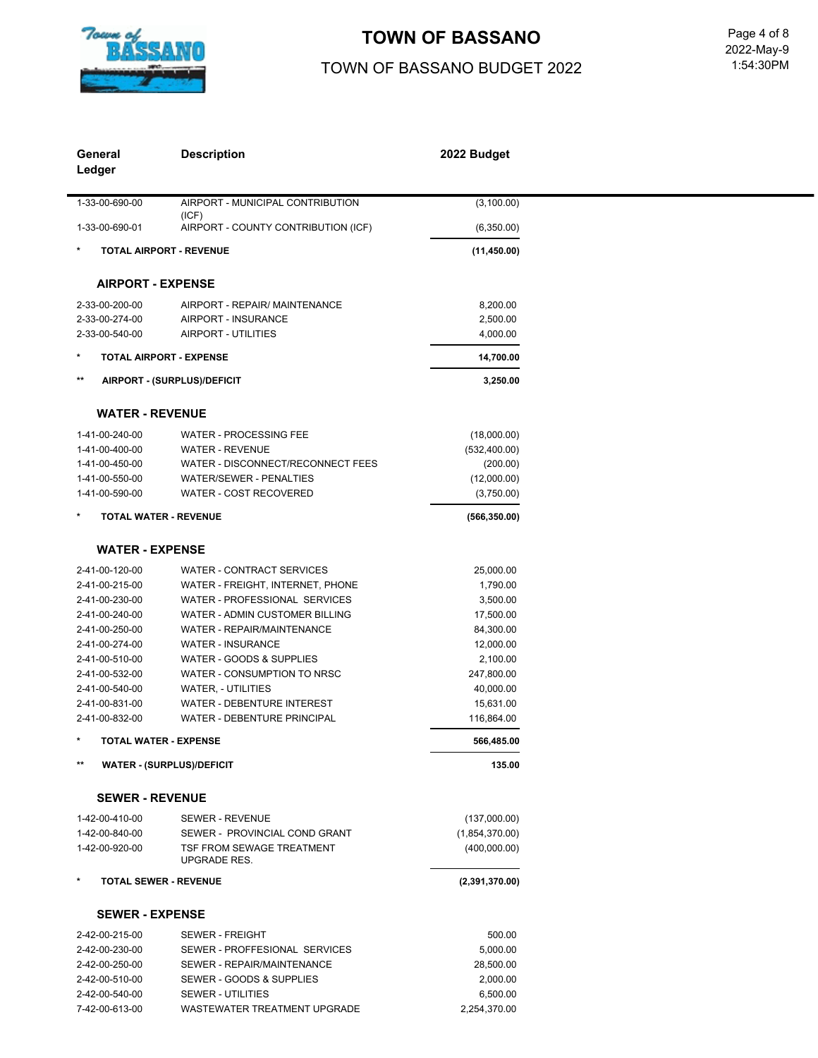

# **TOWN OF BASSANO**

# TOWN OF BASSANO BUDGET 2022

 1:54:30PM 2022-May-9

| General                          | <b>Description</b>                                          | 2022 Budget               |  |
|----------------------------------|-------------------------------------------------------------|---------------------------|--|
| Ledger                           |                                                             |                           |  |
|                                  |                                                             |                           |  |
| 1-33-00-690-00                   | AIRPORT - MUNICIPAL CONTRIBUTION                            | (3, 100.00)               |  |
| 1-33-00-690-01                   | (ICF)<br>AIRPORT - COUNTY CONTRIBUTION (ICF)                | (6,350.00)                |  |
|                                  | <b>TOTAL AIRPORT - REVENUE</b>                              | (11, 450.00)              |  |
|                                  |                                                             |                           |  |
| <b>AIRPORT - EXPENSE</b>         |                                                             |                           |  |
| 2-33-00-200-00                   | AIRPORT - REPAIR/ MAINTENANCE                               | 8,200.00                  |  |
| 2-33-00-274-00                   | AIRPORT - INSURANCE                                         | 2,500.00                  |  |
| 2-33-00-540-00                   | AIRPORT - UTILITIES                                         | 4,000.00                  |  |
|                                  | TOTAL AIRPORT - EXPENSE                                     | 14,700.00                 |  |
| $\star\star$                     | AIRPORT - (SURPLUS)/DEFICIT                                 | 3,250.00                  |  |
|                                  |                                                             |                           |  |
| <b>WATER - REVENUE</b>           |                                                             |                           |  |
| 1-41-00-240-00                   | <b>WATER - PROCESSING FEE</b>                               | (18,000.00)               |  |
| 1-41-00-400-00<br>1-41-00-450-00 | <b>WATER - REVENUE</b><br>WATER - DISCONNECT/RECONNECT FEES | (532, 400.00)<br>(200.00) |  |
| 1-41-00-550-00                   | <b>WATER/SEWER - PENALTIES</b>                              | (12,000.00)               |  |
| 1-41-00-590-00                   | WATER - COST RECOVERED                                      | (3,750.00)                |  |
|                                  |                                                             |                           |  |
|                                  | <b>TOTAL WATER - REVENUE</b>                                | (566, 350.00)             |  |
| <b>WATER - EXPENSE</b>           |                                                             |                           |  |
| 2-41-00-120-00                   | <b>WATER - CONTRACT SERVICES</b>                            | 25,000.00                 |  |
| 2-41-00-215-00                   | WATER - FREIGHT, INTERNET, PHONE                            | 1,790.00                  |  |
| 2-41-00-230-00                   | WATER - PROFESSIONAL SERVICES                               | 3,500.00                  |  |
| 2-41-00-240-00                   | WATER - ADMIN CUSTOMER BILLING                              | 17,500.00                 |  |
| 2-41-00-250-00                   | WATER - REPAIR/MAINTENANCE                                  | 84,300.00                 |  |
| 2-41-00-274-00                   | <b>WATER - INSURANCE</b>                                    | 12,000.00                 |  |
| 2-41-00-510-00                   | WATER - GOODS & SUPPLIES                                    | 2,100.00                  |  |
| 2-41-00-532-00                   | WATER - CONSUMPTION TO NRSC                                 | 247,800.00                |  |
| 2-41-00-540-00                   | <b>WATER, - UTILITIES</b>                                   | 40,000.00                 |  |
| 2-41-00-831-00                   | WATER - DEBENTURE INTEREST                                  | 15,631.00                 |  |
| 2-41-00-832-00                   | <b>WATER - DEBENTURE PRINCIPAL</b>                          | 116,864.00                |  |
|                                  | TOTAL WATER - EXPENSE                                       | 566,485.00                |  |
|                                  | <b>WATER - (SURPLUS)/DEFICIT</b>                            | 135.00                    |  |
| <b>SEWER - REVENUE</b>           |                                                             |                           |  |
| 1-42-00-410-00                   | SEWER - REVENUE                                             | (137,000.00)              |  |
| 1-42-00-840-00                   | SEWER - PROVINCIAL COND GRANT                               | (1,854,370.00)            |  |
| 1-42-00-920-00                   | TSF FROM SEWAGE TREATMENT<br><b>UPGRADE RES.</b>            | (400,000.00)              |  |
| $\ast$                           | <b>TOTAL SEWER - REVENUE</b>                                | (2,391,370.00)            |  |
| <b>SEWER - EXPENSE</b>           |                                                             |                           |  |
| 2-42-00-215-00                   | <b>SEWER - FREIGHT</b>                                      | 500.00                    |  |
| 2-42-00-230-00                   | SEWER - PROFFESIONAL SERVICES                               | 5,000.00                  |  |
| 2-42-00-250-00                   | SEWER - REPAIR/MAINTENANCE                                  | 28,500.00                 |  |
| 2-42-00-510-00                   | SEWER - GOODS & SUPPLIES                                    | 2,000.00                  |  |
| 2-42-00-540-00                   | <b>SEWER - UTILITIES</b>                                    | 6,500.00                  |  |
| 7-42-00-613-00                   | WASTEWATER TREATMENT UPGRADE                                | 2,254,370.00              |  |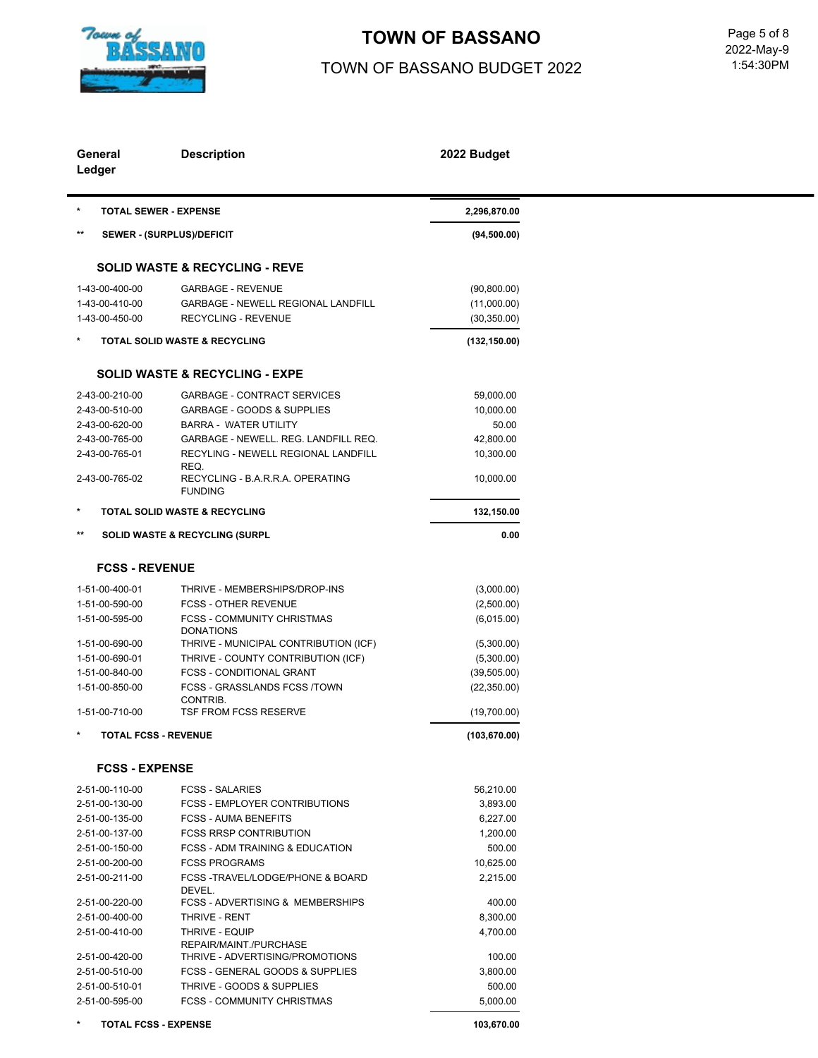

## **TOWN OF BASSANO**

## TOWN OF BASSANO BUDGET 2022

 1:54:30PM Page 5 of 8<br>2022-May-9

| General<br>Ledger |                                               | <b>Description</b>                                 | 2022 Budget                  |  |
|-------------------|-----------------------------------------------|----------------------------------------------------|------------------------------|--|
| $\ast$            | <b>TOTAL SEWER - EXPENSE</b>                  |                                                    | 2,296,870.00                 |  |
| $***$             |                                               | SEWER - (SURPLUS)/DEFICIT                          | (94, 500.00)                 |  |
|                   |                                               | <b>SOLID WASTE &amp; RECYCLING - REVE</b>          |                              |  |
|                   | 1-43-00-400-00                                | <b>GARBAGE - REVENUE</b>                           | (90, 800.00)                 |  |
|                   | 1-43-00-410-00                                | <b>GARBAGE - NEWELL REGIONAL LANDFILL</b>          | (11,000.00)                  |  |
|                   | 1-43-00-450-00                                | <b>RECYCLING - REVENUE</b>                         | (30, 350.00)                 |  |
| $^\ast$           | TOTAL SOLID WASTE & RECYCLING                 |                                                    | (132, 150.00)                |  |
|                   |                                               | <b>SOLID WASTE &amp; RECYCLING - EXPE</b>          |                              |  |
|                   | 2-43-00-210-00                                | <b>GARBAGE - CONTRACT SERVICES</b>                 | 59,000.00                    |  |
|                   | 2-43-00-510-00                                | GARBAGE - GOODS & SUPPLIES                         | 10,000.00                    |  |
|                   | 2-43-00-620-00                                | <b>BARRA - WATER UTILITY</b>                       | 50.00                        |  |
|                   | 2-43-00-765-00                                | GARBAGE - NEWELL. REG. LANDFILL REQ.               | 42,800.00                    |  |
|                   | 2-43-00-765-01                                | RECYLING - NEWELL REGIONAL LANDFILL<br>REQ.        | 10,300.00                    |  |
|                   | 2-43-00-765-02                                | RECYCLING - B.A.R.R.A. OPERATING<br><b>FUNDING</b> | 10,000.00                    |  |
| *                 |                                               | <b>TOTAL SOLID WASTE &amp; RECYCLING</b>           | 132,150.00                   |  |
| $***$             |                                               | <b>SOLID WASTE &amp; RECYCLING (SURPL</b>          | 0.00                         |  |
|                   | <b>FCSS - REVENUE</b>                         |                                                    |                              |  |
|                   | 1-51-00-400-01                                | THRIVE - MEMBERSHIPS/DROP-INS                      | (3,000.00)                   |  |
|                   | 1-51-00-590-00                                | <b>FCSS - OTHER REVENUE</b>                        |                              |  |
|                   | 1-51-00-595-00                                | <b>FCSS - COMMUNITY CHRISTMAS</b>                  | (2,500.00)<br>(6,015.00)     |  |
|                   |                                               | <b>DONATIONS</b>                                   |                              |  |
|                   | 1-51-00-690-00                                | THRIVE - MUNICIPAL CONTRIBUTION (ICF)              | (5,300.00)                   |  |
|                   | 1-51-00-690-01                                | THRIVE - COUNTY CONTRIBUTION (ICF)                 | (5,300.00)                   |  |
|                   | 1-51-00-840-00                                | FCSS - CONDITIONAL GRANT                           | (39, 505.00)                 |  |
|                   | 1-51-00-850-00                                | FCSS - GRASSLANDS FCSS /TOWN                       | (22, 350.00)                 |  |
|                   |                                               | CONTRIB.                                           |                              |  |
|                   | 1-51-00-710-00<br><b>TOTAL FCSS - REVENUE</b> | <b>TSF FROM FCSS RESERVE</b>                       | (19,700.00)<br>(103, 670.00) |  |
|                   |                                               |                                                    |                              |  |
|                   | <b>FCSS - EXPENSE</b>                         |                                                    |                              |  |
|                   | 2-51-00-110-00                                | <b>FCSS - SALARIES</b>                             | 56,210.00                    |  |
|                   | 2-51-00-130-00                                | <b>FCSS - EMPLOYER CONTRIBUTIONS</b>               | 3,893.00                     |  |
|                   | 2-51-00-135-00                                | <b>FCSS - AUMA BENEFITS</b>                        | 6,227.00                     |  |
|                   | 2-51-00-137-00                                | <b>FCSS RRSP CONTRIBUTION</b>                      | 1,200.00                     |  |
|                   | 2-51-00-150-00                                | <b>FCSS - ADM TRAINING &amp; EDUCATION</b>         | 500.00                       |  |
|                   | 2-51-00-200-00                                | <b>FCSS PROGRAMS</b>                               | 10,625.00                    |  |
|                   | 2-51-00-211-00                                | FCSS-TRAVEL/LODGE/PHONE & BOARD<br>DEVEL.          | 2,215.00                     |  |
|                   | 2-51-00-220-00                                | <b>FCSS - ADVERTISING &amp; MEMBERSHIPS</b>        | 400.00                       |  |
|                   | 2-51-00-400-00                                | THRIVE - RENT                                      | 8,300.00                     |  |
|                   | 2-51-00-410-00                                | THRIVE - EQUIP<br>REPAIR/MAINT./PURCHASE           | 4,700.00                     |  |
|                   | 2-51-00-420-00                                | THRIVE - ADVERTISING/PROMOTIONS                    | 100.00                       |  |
|                   | 2-51-00-510-00                                | FCSS - GENERAL GOODS & SUPPLIES                    | 3,800.00                     |  |
|                   | 2-51-00-510-01                                | THRIVE - GOODS & SUPPLIES                          | 500.00                       |  |
|                   | 2-51-00-595-00                                | <b>FCSS - COMMUNITY CHRISTMAS</b>                  | 5,000.00                     |  |
|                   | <b>TOTAL FCSS - EXPENSE</b>                   |                                                    | 103,670.00                   |  |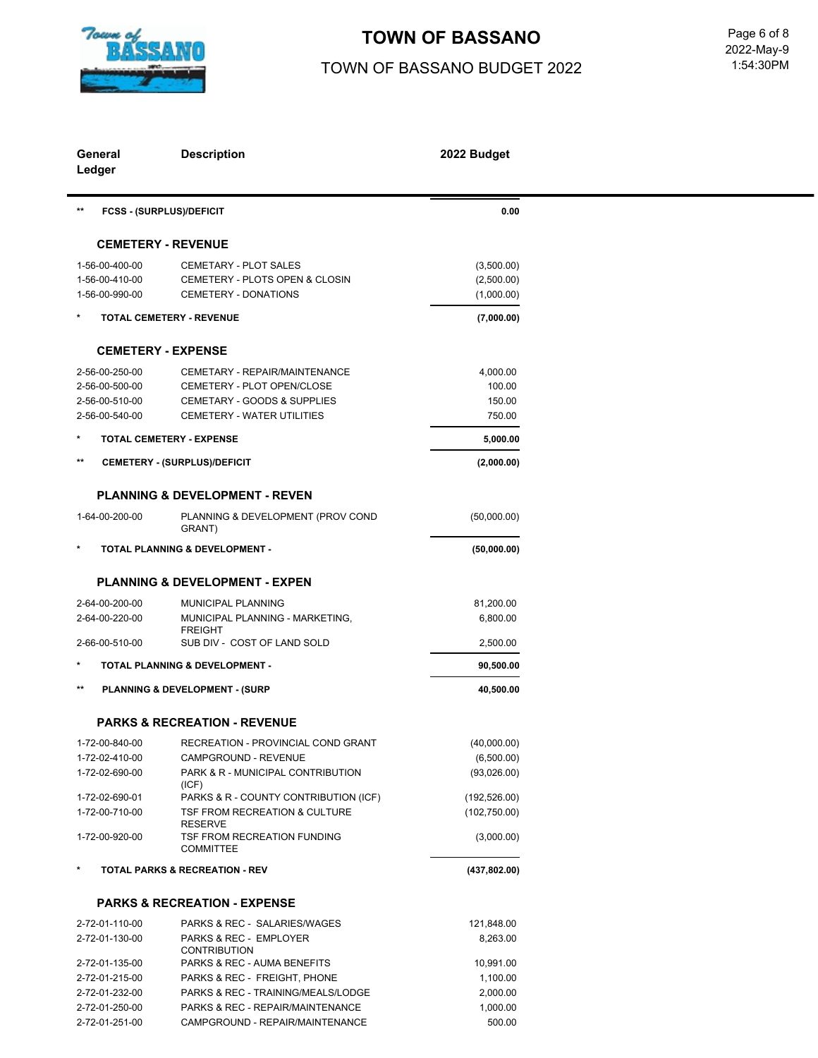

# **TOWN OF BASSANO** Page 6 of 8

# TOWN OF BASSANO BUDGET 2022

 1:54:30PM 2022-May-9

| General<br>Ledger                | <b>Description</b>                                                     | 2022 Budget        |
|----------------------------------|------------------------------------------------------------------------|--------------------|
| $***$                            | <b>FCSS - (SURPLUS)/DEFICIT</b>                                        | 0.00               |
|                                  | <b>CEMETERY - REVENUE</b>                                              |                    |
| 1-56-00-400-00                   | <b>CEMETARY - PLOT SALES</b>                                           | (3,500.00)         |
| 1-56-00-410-00                   | CEMETERY - PLOTS OPEN & CLOSIN                                         | (2,500.00)         |
| 1-56-00-990-00                   | <b>CEMETERY - DONATIONS</b>                                            | (1,000.00)         |
|                                  | <b>TOTAL CEMETERY - REVENUE</b>                                        | (7,000.00)         |
|                                  | <b>CEMETERY - EXPENSE</b>                                              |                    |
| 2-56-00-250-00                   | CEMETARY - REPAIR/MAINTENANCE                                          | 4,000.00           |
| 2-56-00-500-00                   | CEMETERY - PLOT OPEN/CLOSE                                             | 100.00             |
| 2-56-00-510-00                   | CEMETARY - GOODS & SUPPLIES                                            | 150.00             |
| 2-56-00-540-00                   | CEMETERY - WATER UTILITIES                                             | 750.00             |
|                                  | <b>TOTAL CEMETERY - EXPENSE</b>                                        | 5,000.00           |
| $***$                            | <b>CEMETERY - (SURPLUS)/DEFICIT</b>                                    | (2,000.00)         |
|                                  | <b>PLANNING &amp; DEVELOPMENT - REVEN</b>                              |                    |
| 1-64-00-200-00                   | PLANNING & DEVELOPMENT (PROV COND<br>GRANT)                            | (50,000.00)        |
|                                  | <b>TOTAL PLANNING &amp; DEVELOPMENT -</b>                              | (50,000.00)        |
|                                  | <b>PLANNING &amp; DEVELOPMENT - EXPEN</b>                              |                    |
| 2-64-00-200-00                   | MUNICIPAL PLANNING                                                     | 81,200.00          |
| 2-64-00-220-00                   | MUNICIPAL PLANNING - MARKETING,<br><b>FREIGHT</b>                      | 6,800.00           |
| 2-66-00-510-00                   | SUB DIV - COST OF LAND SOLD                                            | 2,500.00           |
|                                  | <b>TOTAL PLANNING &amp; DEVELOPMENT -</b>                              | 90,500.00          |
| $***$                            | <b>PLANNING &amp; DEVELOPMENT - (SURP</b>                              | 40,500.00          |
|                                  | <b>PARKS &amp; RECREATION - REVENUE</b>                                |                    |
| 1-72-00-840-00                   | RECREATION - PROVINCIAL COND GRANT                                     | (40,000.00)        |
| 1-72-02-410-00                   | CAMPGROUND - REVENUE                                                   | (6,500.00)         |
| 1-72-02-690-00                   | PARK & R - MUNICIPAL CONTRIBUTION                                      | (93,026.00)        |
| 1-72-02-690-01                   | (ICF)<br>PARKS & R - COUNTY CONTRIBUTION (ICF)                         | (192, 526.00)      |
| 1-72-00-710-00                   | TSF FROM RECREATION & CULTURE<br><b>RESERVE</b>                        | (102,750.00)       |
| 1-72-00-920-00                   | TSF FROM RECREATION FUNDING<br><b>COMMITTEE</b>                        | (3,000.00)         |
|                                  | <b>TOTAL PARKS &amp; RECREATION - REV</b>                              | (437, 802.00)      |
|                                  | <b>PARKS &amp; RECREATION - EXPENSE</b>                                |                    |
| 2-72-01-110-00                   | PARKS & REC - SALARIES/WAGES                                           | 121,848.00         |
| 2-72-01-130-00                   | PARKS & REC - EMPLOYER                                                 | 8,263.00           |
|                                  | <b>CONTRIBUTION</b>                                                    |                    |
| 2-72-01-135-00                   | PARKS & REC - AUMA BENEFITS                                            | 10,991.00          |
| 2-72-01-215-00                   | PARKS & REC - FREIGHT, PHONE                                           | 1,100.00           |
| 2-72-01-232-00                   | PARKS & REC - TRAINING/MEALS/LODGE<br>PARKS & REC - REPAIR/MAINTENANCE | 2,000.00           |
| 2-72-01-250-00<br>2-72-01-251-00 | CAMPGROUND - REPAIR/MAINTENANCE                                        | 1,000.00<br>500.00 |
|                                  |                                                                        |                    |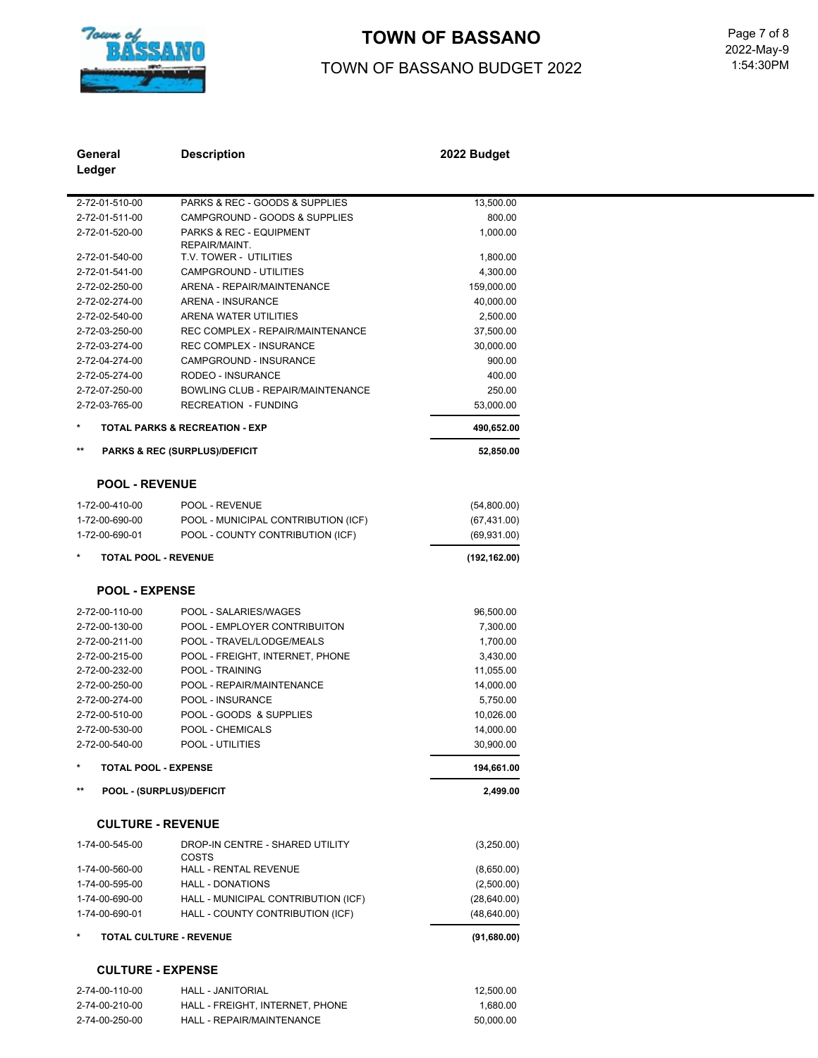

# TOWN OF BASSANO<br>
Page 7 of 8

### TOWN OF BASSANO BUDGET 2022

 1:54:30PM 2022-May-9

| General                          | <b>Description</b>                                        | 2022 Budget           |  |
|----------------------------------|-----------------------------------------------------------|-----------------------|--|
| Ledger                           |                                                           |                       |  |
|                                  |                                                           |                       |  |
| 2-72-01-510-00                   | PARKS & REC - GOODS & SUPPLIES                            | 13,500.00             |  |
| 2-72-01-511-00                   | CAMPGROUND - GOODS & SUPPLIES                             | 800.00                |  |
| 2-72-01-520-00                   | <b>PARKS &amp; REC - EQUIPMENT</b>                        | 1,000.00              |  |
|                                  | REPAIR/MAINT.                                             |                       |  |
| 2-72-01-540-00                   | T.V. TOWER - UTILITIES                                    | 1,800.00              |  |
| 2-72-01-541-00                   | CAMPGROUND - UTILITIES                                    | 4,300.00              |  |
| 2-72-02-250-00                   | <b>ARENA - REPAIR/MAINTENANCE</b>                         | 159,000.00            |  |
| 2-72-02-274-00                   | ARENA - INSURANCE                                         | 40,000.00             |  |
| 2-72-02-540-00                   | ARENA WATER UTILITIES<br>REC COMPLEX - REPAIR/MAINTENANCE | 2,500.00              |  |
| 2-72-03-250-00                   | <b>REC COMPLEX - INSURANCE</b>                            | 37,500.00             |  |
| 2-72-03-274-00                   |                                                           | 30,000.00             |  |
| 2-72-04-274-00<br>2-72-05-274-00 | CAMPGROUND - INSURANCE<br>RODEO - INSURANCE               | 900.00<br>400.00      |  |
| 2-72-07-250-00                   | BOWLING CLUB - REPAIR/MAINTENANCE                         | 250.00                |  |
| 2-72-03-765-00                   | <b>RECREATION - FUNDING</b>                               | 53,000.00             |  |
| $\ast$                           | <b>TOTAL PARKS &amp; RECREATION - EXP</b>                 |                       |  |
| $\star\star$                     |                                                           | 490,652.00            |  |
|                                  | <b>PARKS &amp; REC (SURPLUS)/DEFICIT</b>                  | 52,850.00             |  |
| <b>POOL - REVENUE</b>            |                                                           |                       |  |
| 1-72-00-410-00                   | POOL - REVENUE                                            | (54,800.00)           |  |
| 1-72-00-690-00                   | POOL - MUNICIPAL CONTRIBUTION (ICF)                       | (67, 431.00)          |  |
| 1-72-00-690-01                   | POOL - COUNTY CONTRIBUTION (ICF)                          | (69, 931.00)          |  |
| $\star$                          | <b>TOTAL POOL - REVENUE</b>                               | (192, 162.00)         |  |
|                                  |                                                           |                       |  |
| <b>POOL - EXPENSE</b>            |                                                           |                       |  |
| 2-72-00-110-00                   | POOL - SALARIES/WAGES                                     | 96,500.00             |  |
| 2-72-00-130-00                   | POOL - EMPLOYER CONTRIBUITON                              | 7,300.00              |  |
| 2-72-00-211-00                   | POOL - TRAVEL/LODGE/MEALS                                 | 1,700.00              |  |
| 2-72-00-215-00                   | POOL - FREIGHT, INTERNET, PHONE                           | 3,430.00              |  |
| 2-72-00-232-00                   | POOL - TRAINING                                           | 11,055.00             |  |
| 2-72-00-250-00                   | POOL - REPAIR/MAINTENANCE                                 | 14,000.00             |  |
| 2-72-00-274-00                   | POOL - INSURANCE                                          | 5,750.00              |  |
| 2-72-00-510-00                   | POOL - GOODS & SUPPLIES                                   | 10,026.00             |  |
| 2-72-00-530-00                   | POOL - CHEMICALS                                          | 14,000.00             |  |
| 2-72-00-540-00                   | POOL - UTILITIES                                          | 30,900.00             |  |
|                                  | <b>TOTAL POOL - EXPENSE</b>                               | 194,661.00            |  |
| $***$                            | POOL - (SURPLUS)/DEFICIT                                  | 2,499.00              |  |
|                                  | <b>CULTURE - REVENUE</b>                                  |                       |  |
| 1-74-00-545-00                   | DROP-IN CENTRE - SHARED UTILITY                           | (3,250.00)            |  |
|                                  | COSTS                                                     |                       |  |
| 1-74-00-560-00                   | <b>HALL - RENTAL REVENUE</b>                              | (8,650.00)            |  |
| 1-74-00-595-00                   | <b>HALL - DONATIONS</b>                                   | (2,500.00)            |  |
| 1-74-00-690-00                   | HALL - MUNICIPAL CONTRIBUTION (ICF)                       | (28, 640.00)          |  |
| 1-74-00-690-01                   | HALL - COUNTY CONTRIBUTION (ICF)                          | (48, 640.00)          |  |
| $\star$                          | TOTAL CULTURE - REVENUE                                   | (91,680.00)           |  |
|                                  | <b>CULTURE - EXPENSE</b>                                  |                       |  |
| 2-74-00-110-00                   | HALL - JANITORIAL                                         |                       |  |
|                                  |                                                           | 12,500.00<br>1,680.00 |  |
| 2-74-00-210-00<br>2-74-00-250-00 | HALL - FREIGHT, INTERNET, PHONE                           | 50,000.00             |  |
|                                  | HALL - REPAIR/MAINTENANCE                                 |                       |  |